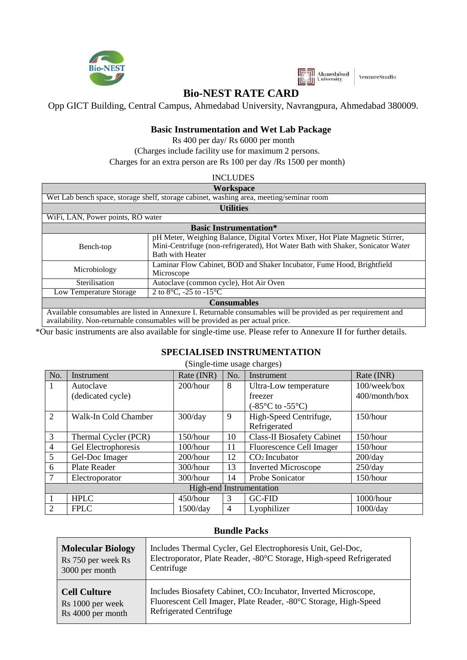

 $\overline{\phantom{0}}$ 



VentureStudio

 $\overline{\phantom{a}}$ 

# **Bio-NEST RATE CARD**

Opp GICT Building, Central Campus, Ahmedabad University, Navrangpura, Ahmedabad 380009.

### **Basic Instrumentation and Wet Lab Package**

Rs 400 per day/ Rs 6000 per month (Charges include facility use for maximum 2 persons. Charges for an extra person are Rs 100 per day /Rs 1500 per month)

| <b>INCLUDES</b> |
|-----------------|
| .               |

|                                                                                         | Workspace                                                                                                                                                                                        |                                                                                                                                                                                             |  |  |  |  |  |  |
|-----------------------------------------------------------------------------------------|--------------------------------------------------------------------------------------------------------------------------------------------------------------------------------------------------|---------------------------------------------------------------------------------------------------------------------------------------------------------------------------------------------|--|--|--|--|--|--|
| Wet Lab bench space, storage shelf, storage cabinet, washing area, meeting/seminar room |                                                                                                                                                                                                  |                                                                                                                                                                                             |  |  |  |  |  |  |
|                                                                                         | <b>Utilities</b>                                                                                                                                                                                 |                                                                                                                                                                                             |  |  |  |  |  |  |
| WiFi, LAN, Power points, RO water                                                       |                                                                                                                                                                                                  |                                                                                                                                                                                             |  |  |  |  |  |  |
|                                                                                         | <b>Basic Instrumentation*</b>                                                                                                                                                                    |                                                                                                                                                                                             |  |  |  |  |  |  |
|                                                                                         | Bench-top                                                                                                                                                                                        | pH Meter, Weighing Balance, Digital Vortex Mixer, Hot Plate Magnetic Stirrer,<br>Mini-Centrifuge (non-refrigerated), Hot Water Bath with Shaker, Sonicator Water<br><b>Bath with Heater</b> |  |  |  |  |  |  |
|                                                                                         | Microbiology                                                                                                                                                                                     | Laminar Flow Cabinet, BOD and Shaker Incubator, Fume Hood, Brightfield<br>Microscope                                                                                                        |  |  |  |  |  |  |
|                                                                                         | Sterilisation                                                                                                                                                                                    | Autoclave (common cycle), Hot Air Oven                                                                                                                                                      |  |  |  |  |  |  |
|                                                                                         | Low Temperature Storage                                                                                                                                                                          | 2 to $8^{\circ}$ C, -25 to -15 $^{\circ}$ C                                                                                                                                                 |  |  |  |  |  |  |
|                                                                                         | <b>Consumables</b>                                                                                                                                                                               |                                                                                                                                                                                             |  |  |  |  |  |  |
|                                                                                         | Available consumables are listed in Annexure I. Returnable consumables will be provided as per requirement and<br>availability. Non-returnable consumables will be provided as per actual price. |                                                                                                                                                                                             |  |  |  |  |  |  |

\*Our basic instruments are also available for single-time use. Please refer to Annexure II for further details.

#### **SPECIALISED INSTRUMENTATION**

| (Single-time usage charges)                  |                      |             |     |                                           |               |  |  |  |
|----------------------------------------------|----------------------|-------------|-----|-------------------------------------------|---------------|--|--|--|
| No.                                          | Instrument           | Rate (INR)  | No. | Instrument                                | Rate (INR)    |  |  |  |
| 1                                            | Autoclave            | $200/h$ our | 8   | Ultra-Low temperature                     | 100/week/box  |  |  |  |
|                                              | (dedicated cycle)    |             |     | freezer                                   | 400/month/box |  |  |  |
|                                              |                      |             |     | $(-85^{\circ}C \text{ to } -55^{\circ}C)$ |               |  |  |  |
| 2<br>Walk-In Cold Chamber                    |                      | $300$ /day  | 9   | High-Speed Centrifuge,                    | 150/hour      |  |  |  |
|                                              |                      |             |     | Refrigerated                              |               |  |  |  |
| 3                                            | Thermal Cycler (PCR) | 150/hour    | 10  | <b>Class-II Biosafety Cabinet</b>         | 150/hour      |  |  |  |
| $\overline{4}$                               | Gel Electrophoresis  | 100/hour    | 11  | Fluorescence Cell Imager                  | 150/hour      |  |  |  |
| 5                                            | Gel-Doc Imager       | $200/h$ our | 12  | CO <sub>2</sub> Incubator                 | $200$ /day    |  |  |  |
| 6                                            | Plate Reader         | $300/h$ our | 13  | <b>Inverted Microscope</b>                | $250$ /day    |  |  |  |
|                                              | Electroporator       | 300/hour    | 14  | Probe Sonicator                           | 150/hour      |  |  |  |
| High-end Instrumentation                     |                      |             |     |                                           |               |  |  |  |
|                                              | <b>HPLC</b>          | 450/hour    | 3   | <b>GC-FID</b>                             | 1000/hour     |  |  |  |
| $\overline{2}$<br><b>FPLC</b><br>$1500$ /day |                      |             | 4   | Lyophilizer                               | $1000$ /day   |  |  |  |

#### **Bundle Packs**

| <b>Molecular Biology</b> | Includes Thermal Cycler, Gel Electrophoresis Unit, Gel-Doc,          |
|--------------------------|----------------------------------------------------------------------|
| Rs 750 per week Rs       | Electroporator, Plate Reader, -80°C Storage, High-speed Refrigerated |
| 3000 per month           | Centrifuge                                                           |
| <b>Cell Culture</b>      | Includes Biosafety Cabinet, CO2 Incubator, Inverted Microscope,      |
| Rs 1000 per week         | Fluorescent Cell Imager, Plate Reader, -80°C Storage, High-Speed     |
| Rs 4000 per month        | <b>Refrigerated Centrifuge</b>                                       |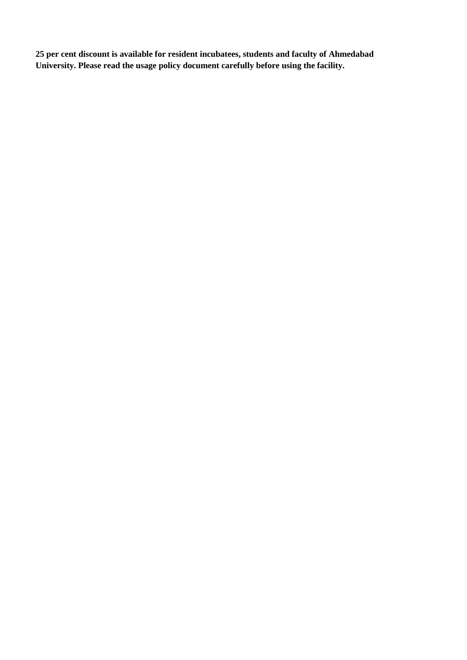**25 per cent discount is available for resident incubatees, students and faculty of Ahmedabad University. Please read the usage policy document carefully before using the facility.**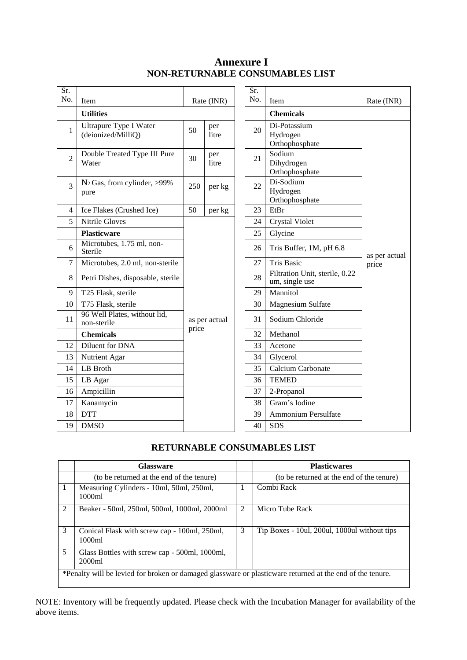## **Annexure I NON-RETURNABLE CONSUMABLES LIST**

| Sr.            |                                              |                                                                           |  |  | Sr.              |                                                  |               |
|----------------|----------------------------------------------|---------------------------------------------------------------------------|--|--|------------------|--------------------------------------------------|---------------|
| No.            | Item                                         | Rate (INR)                                                                |  |  | No.              | Item                                             | Rate (INR)    |
|                | <b>Utilities</b>                             |                                                                           |  |  | <b>Chemicals</b> |                                                  |               |
| $\mathbf{1}$   | Ultrapure Type I Water<br>(deionized/MilliQ) | per<br>50<br>litre<br>per<br>30<br>litre<br>250<br>per kg<br>50<br>per kg |  |  | 20               | Di-Potassium<br>Hydrogen<br>Orthophosphate       |               |
| $\overline{2}$ | Double Treated Type III Pure<br>Water        |                                                                           |  |  | 21               | Sodium<br>Dihydrogen<br>Orthophosphate           |               |
| 3              | $N_2$ Gas, from cylinder, >99%<br>pure       |                                                                           |  |  | 22               | Di-Sodium<br>Hydrogen<br>Orthophosphate          |               |
| 4              | Ice Flakes (Crushed Ice)                     |                                                                           |  |  | 23               | EtBr                                             |               |
| 5              | <b>Nitrile Gloves</b>                        | as per actual<br>price                                                    |  |  | 24               | <b>Crystal Violet</b>                            |               |
|                | <b>Plasticware</b>                           |                                                                           |  |  | 25               | Glycine                                          |               |
| 6              | Microtubes, 1.75 ml, non-<br>Sterile         |                                                                           |  |  | 26               | Tris Buffer, 1M, pH 6.8                          | as per actual |
| $\tau$         | Microtubes, 2.0 ml, non-sterile              |                                                                           |  |  | 27               | <b>Tris Basic</b>                                | price         |
| 8              | Petri Dishes, disposable, sterile            |                                                                           |  |  | 28               | Filtration Unit, sterile, 0.22<br>um, single use |               |
| 9              | T25 Flask, sterile                           |                                                                           |  |  | 29               | Mannitol                                         |               |
| 10             | T75 Flask, sterile                           |                                                                           |  |  | 30               | Magnesium Sulfate                                |               |
| 11             | 96 Well Plates, without lid,<br>non-sterile  |                                                                           |  |  | 31               | Sodium Chloride                                  |               |
|                | <b>Chemicals</b>                             |                                                                           |  |  | 32               | Methanol                                         |               |
| 12             | Diluent for DNA                              |                                                                           |  |  | 33               | Acetone                                          |               |
| 13             | Nutrient Agar                                |                                                                           |  |  | 34               | Glycerol                                         |               |
| 14             | LB Broth                                     |                                                                           |  |  | 35               | Calcium Carbonate                                |               |
| 15             | LB Agar                                      |                                                                           |  |  | 36               | <b>TEMED</b>                                     |               |
| 16             | Ampicillin                                   |                                                                           |  |  | 37               | 2-Propanol                                       |               |
| 17             | Kanamycin                                    |                                                                           |  |  | 38               | Gram's Iodine                                    |               |
| 18             | <b>DTT</b>                                   |                                                                           |  |  | 39               | Ammonium Persulfate                              |               |
| 19             | <b>DMSO</b>                                  |                                                                           |  |  | 40               | <b>SDS</b>                                       |               |

## **RETURNABLE CONSUMABLES LIST**

|                                                                                                           | <b>Glassware</b>                                        |   | <b>Plasticwares</b>                          |  |  |  |
|-----------------------------------------------------------------------------------------------------------|---------------------------------------------------------|---|----------------------------------------------|--|--|--|
|                                                                                                           | (to be returned at the end of the tenure)               |   | (to be returned at the end of the tenure)    |  |  |  |
|                                                                                                           | Measuring Cylinders - 10ml, 50ml, 250ml,<br>1000ml      |   | Combi Rack                                   |  |  |  |
| $\mathfrak{D}$                                                                                            | Beaker - 50ml, 250ml, 500ml, 1000ml, 2000ml             | 2 | Micro Tube Rack                              |  |  |  |
| 3                                                                                                         | Conical Flask with screw cap - 100ml, 250ml,<br>1000ml  | 3 | Tip Boxes - 10ul, 200ul, 1000ul without tips |  |  |  |
| 5                                                                                                         | Glass Bottles with screw cap - 500ml, 1000ml,<br>2000ml |   |                                              |  |  |  |
| *Penalty will be levied for broken or damaged glassware or plasticware returned at the end of the tenure. |                                                         |   |                                              |  |  |  |

NOTE: Inventory will be frequently updated. Please check with the Incubation Manager for availability of the above items.